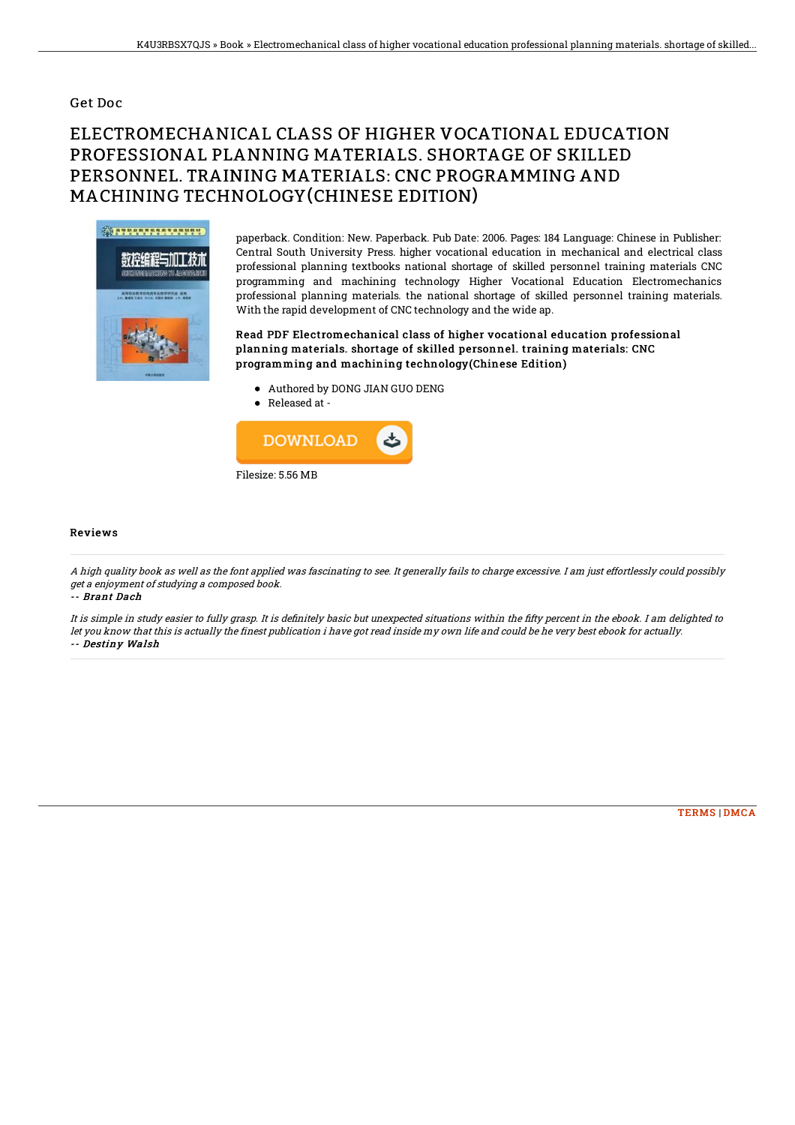## Get Doc

## ELECTROMECHANICAL CLASS OF HIGHER VOCATIONAL EDUCATION PROFESSIONAL PLANNING MATERIALS. SHORTAGE OF SKILLED PERSONNEL. TRAINING MATERIALS: CNC PROGRAMMING AND MACHINING TECHNOLOGY(CHINESE EDITION)



paperback. Condition: New. Paperback. Pub Date: 2006. Pages: 184 Language: Chinese in Publisher: Central South University Press. higher vocational education in mechanical and electrical class professional planning textbooks national shortage of skilled personnel training materials CNC programming and machining technology Higher Vocational Education Electromechanics professional planning materials. the national shortage of skilled personnel training materials. With the rapid development of CNC technology and the wide ap.

Read PDF Electromechanical class of higher vocational education professional planning materials. shortage of skilled personnel. training materials: CNC programming and machining technology(Chinese Edition)

- Authored by DONG JIAN GUO DENG
- Released at -



## Reviews

A high quality book as well as the font applied was fascinating to see. It generally fails to charge excessive. I am just effortlessly could possibly get <sup>a</sup> enjoyment of studying <sup>a</sup> composed book.

-- Brant Dach

It is simple in study easier to fully grasp. It is definitely basic but unexpected situations within the fifty percent in the ebook. I am delighted to let you know that this is actually the finest publication i have got read inside my own life and could be he very best ebook for actually. -- Destiny Walsh